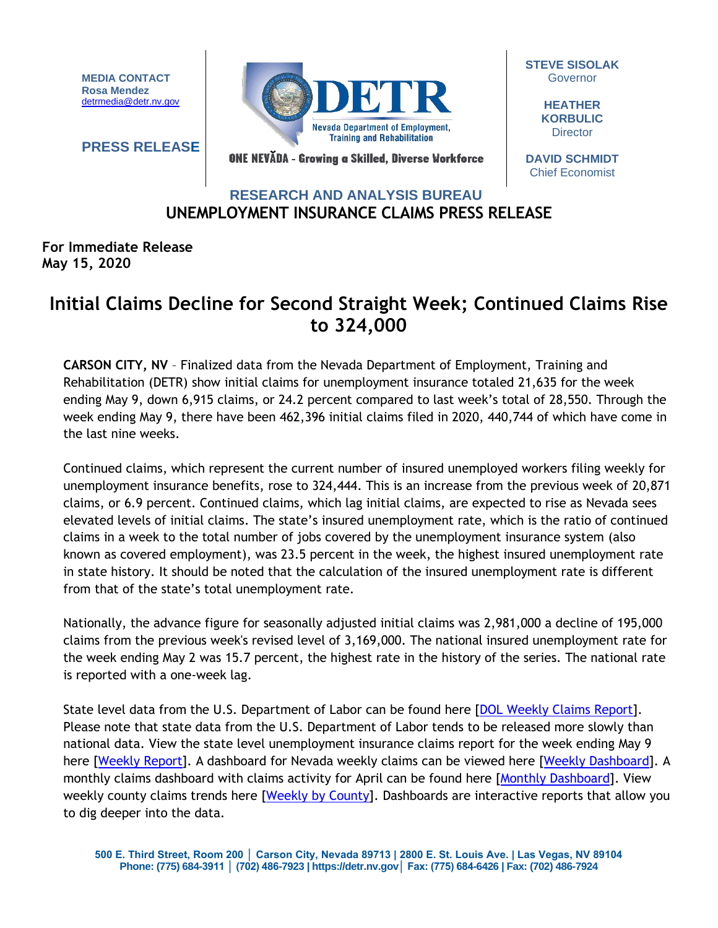**MEDIA CONTACT Rosa Mendez** [detrmedia@detr.nv.gov](mailto:detrmedia@detr.nv.gov)

**PRESS RELEASE**



**STEVE SISOLAK Governor** 

> **HEATHER KORBULIC Director**

ONE NEVĂDA - Growing a Skilled, Diverse Workforce

**DAVID SCHMIDT** Chief Economist

## **UNEMPLOYMENT INSURANCE CLAIMS PRESS RELEASE RESEARCH AND ANALYSIS BUREAU**

### **For Immediate Release May 15, 2020**

# **Initial Claims Decline for Second Straight Week; Continued Claims Rise to 324,000**

**CARSON CITY, NV** – Finalized data from the Nevada Department of Employment, Training and Rehabilitation (DETR) show initial claims for unemployment insurance totaled 21,635 for the week ending May 9, down 6,915 claims, or 24.2 percent compared to last week's total of 28,550. Through the week ending May 9, there have been 462,396 initial claims filed in 2020, 440,744 of which have come in the last nine weeks.

Continued claims, which represent the current number of insured unemployed workers filing weekly for unemployment insurance benefits, rose to 324,444. This is an increase from the previous week of 20,871 claims, or 6.9 percent. Continued claims, which lag initial claims, are expected to rise as Nevada sees elevated levels of initial claims. The state's insured unemployment rate, which is the ratio of continued claims in a week to the total number of jobs covered by the unemployment insurance system (also known as covered employment), was 23.5 percent in the week, the highest insured unemployment rate in state history. It should be noted that the calculation of the insured unemployment rate is different from that of the state's total unemployment rate.

Nationally, the advance figure for seasonally adjusted initial claims was 2,981,000 a decline of 195,000 claims from the previous week's revised level of 3,169,000. The national insured unemployment rate for the week ending May 2 was 15.7 percent, the highest rate in the history of the series. The national rate is reported with a one-week lag.

State level data from the U.S. Department of Labor can be found here [\[DOL Weekly Claims Report\]](https://oui.doleta.gov/unemploy/claims_arch.asp). Please note that state data from the U.S. Department of Labor tends to be released more slowly than national data. View the state level unemployment insurance claims report for the week ending May 9 here [\[Weekly Report\]](http://nvlmi.mt.gov/Portals/197/UI%20Monthly%20Claims%20Press%20Release/Dashboards/State%20of%20Nevada%20UI%20Weekly%20Filing%20Report.pdf). A dashboard for Nevada weekly claims can be viewed here [\[Weekly Dashboard\]](http://nvlmi.mt.gov/Portals/197/UI%20Monthly%20Claims%20Press%20Release/Dashboards/UIWeeklyDashboard.html). A monthly claims dashboard with claims activity for April can be found here [\[Monthly Dashboard\]](http://nvlmi.mt.gov/Portals/197/UI%20Monthly%20Claims%20Press%20Release/Dashboards/UIMonthlyDashboard.html). View weekly county claims trends here [\[Weekly by County\]](http://nvlmi.mt.gov/Portals/197/UI%20Monthly%20Claims%20Press%20Release/Dashboards/UICountyTrends.html). Dashboards are interactive reports that allow you to dig deeper into the data.